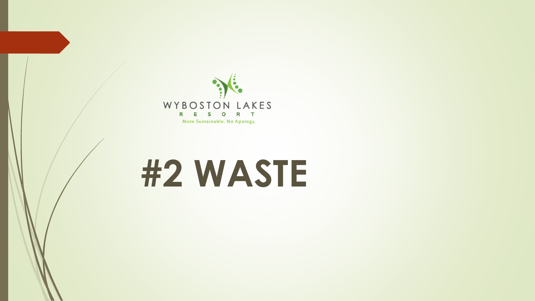

## **#2 WASTE**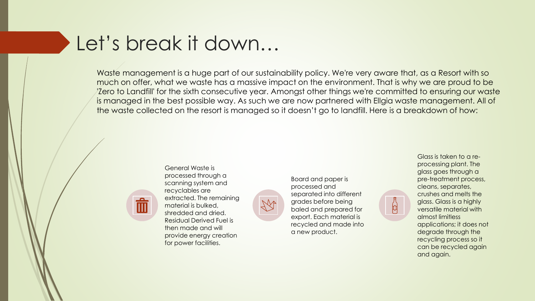## Let's break it down…

Waste management is a huge part of our sustainability policy. We're very aware that, as a Resort with so much on offer, what we waste has a massive impact on the environment. That is why we are proud to be 'Zero to Landfill' for the sixth consecutive year. Amongst other things we're committed to ensuring our waste is managed in the best possible way. As such we are now partnered with Ellgia waste management. All of the waste collected on the resort is managed so it doesn't go to landfill. Here is a breakdown of how:



General Waste is processed through a scanning system and recyclables are extracted. The remaining material is bulked, shredded and dried. Residual Derived Fuel is then made and will provide energy creation for power facilities.



Glass is taken to a reprocessing plant. The glass goes through a pre-treatment process, cleans, separates, crushes and melts the glass. Glass is a highly versatile material with almost limitless applications; it does not degrade through the recycling process so it can be recycled again and again.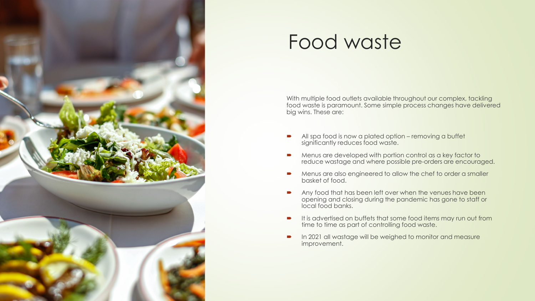

## Food waste

With multiple food outlets available throughout our complex, tackling food waste is paramount. Some simple process changes have delivered big wins. These are:

- All spa food is now a plated option removing a buffet significantly reduces food waste.
- Menus are developed with portion control as a key factor to reduce wastage and where possible pre-orders are encouraged.
- Menus are also engineered to allow the chef to order a smaller basket of food.
- Any food that has been left over when the venues have been opening and closing during the pandemic has gone to staff or local food banks.
- It is advertised on buffets that some food items may run out from time to time as part of controlling food waste.
- In 2021 all wastage will be weighed to monitor and measure improvement.